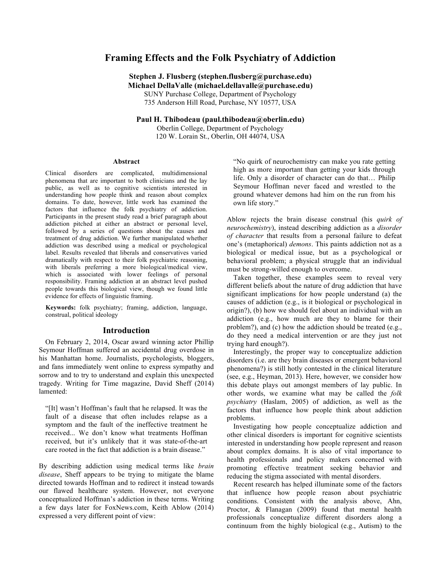# **Framing Effects and the Folk Psychiatry of Addiction**

**Stephen J. Flusberg (stephen.flusberg@purchase.edu) Michael DellaValle (michael.dellavalle@purchase.edu)**

SUNY Purchase College, Department of Psychology 735 Anderson Hill Road, Purchase, NY 10577, USA

**Paul H. Thibodeau (paul.thibodeau@oberlin.edu)**

Oberlin College, Department of Psychology 120 W. Lorain St., Oberlin, OH 44074, USA

#### **Abstract**

Clinical disorders are complicated, multidimensional phenomena that are important to both clinicians and the lay public, as well as to cognitive scientists interested in understanding how people think and reason about complex domains. To date, however, little work has examined the factors that influence the folk psychiatry of addiction. Participants in the present study read a brief paragraph about addiction pitched at either an abstract or personal level, followed by a series of questions about the causes and treatment of drug addiction. We further manipulated whether addiction was described using a medical or psychological label. Results revealed that liberals and conservatives varied dramatically with respect to their folk psychiatric reasoning, with liberals preferring a more biological/medical view, which is associated with lower feelings of personal responsibility. Framing addiction at an abstract level pushed people towards this biological view, though we found little evidence for effects of linguistic framing.

**Keywords:** folk psychiatry; framing, addiction, language, construal, political ideology

#### **Introduction**

On February 2, 2014, Oscar award winning actor Phillip Seymour Hoffman suffered an accidental drug overdose in his Manhattan home. Journalists, psychologists, bloggers, and fans immediately went online to express sympathy and sorrow and to try to understand and explain this unexpected tragedy. Writing for Time magazine, David Sheff (2014) lamented:

"[It] wasn't Hoffman's fault that he relapsed. It was the fault of a disease that often includes relapse as a symptom and the fault of the ineffective treatment he received... We don't know what treatments Hoffman received, but it's unlikely that it was state-of-the-art care rooted in the fact that addiction is a brain disease."

By describing addiction using medical terms like *brain disease*, Sheff appears to be trying to mitigate the blame directed towards Hoffman and to redirect it instead towards our flawed healthcare system. However, not everyone conceptualized Hoffman's addiction in these terms. Writing a few days later for FoxNews.com, Keith Ablow (2014) expressed a very different point of view:

"No quirk of neurochemistry can make you rate getting high as more important than getting your kids through life. Only a disorder of character can do that… Philip Seymour Hoffman never faced and wrestled to the ground whatever demons had him on the run from his own life story."

Ablow rejects the brain disease construal (his *quirk of neurochemistry*), instead describing addiction as a *disorder of character* that results from a personal failure to defeat one's (metaphorical) *demons*. This paints addiction not as a biological or medical issue, but as a psychological or behavioral problem; a physical struggle that an individual must be strong-willed enough to overcome.

Taken together, these examples seem to reveal very different beliefs about the nature of drug addiction that have significant implications for how people understand (a) the causes of addiction (e.g., is it biological or psychological in origin?), (b) how we should feel about an individual with an addiction (e.g., how much are they to blame for their problem?), and (c) how the addiction should be treated (e.g., do they need a medical intervention or are they just not trying hard enough?).

Interestingly, the proper way to conceptualize addiction disorders (i.e. are they brain diseases or emergent behavioral phenomena?) is still hotly contested in the clinical literature (see, e.g., Heyman, 2013). Here, however, we consider how this debate plays out amongst members of lay public. In other words, we examine what may be called the *folk psychiatry* (Haslam, 2005) of addiction, as well as the factors that influence how people think about addiction problems.

Investigating how people conceptualize addiction and other clinical disorders is important for cognitive scientists interested in understanding how people represent and reason about complex domains. It is also of vital importance to health professionals and policy makers concerned with promoting effective treatment seeking behavior and reducing the stigma associated with mental disorders.

Recent research has helped illuminate some of the factors that influence how people reason about psychiatric conditions. Consistent with the analysis above, Ahn, Proctor, & Flanagan (2009) found that mental health professionals conceptualize different disorders along a continuum from the highly biological (e.g., Autism) to the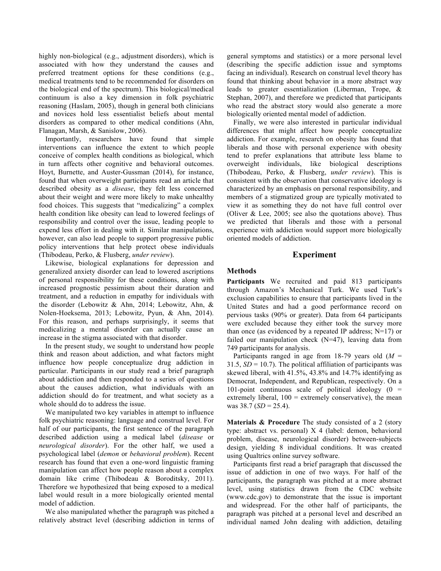highly non-biological (e.g., adjustment disorders), which is associated with how they understand the causes and preferred treatment options for these conditions (e.g., medical treatments tend to be recommended for disorders on the biological end of the spectrum). This biological/medical continuum is also a key dimension in folk psychiatric reasoning (Haslam, 2005), though in general both clinicians and novices hold less essentialist beliefs about mental disorders as compared to other medical conditions (Ahn, Flanagan, Marsh, & Sanislow, 2006).

Importantly, researchers have found that simple interventions can influence the extent to which people conceive of complex health conditions as biological, which in turn affects other cognitive and behavioral outcomes. Hoyt, Burnette, and Auster-Gussman (2014), for instance, found that when overweight participants read an article that described obesity as a *disease*, they felt less concerned about their weight and were more likely to make unhealthy food choices. This suggests that "medicalizing" a complex health condition like obesity can lead to lowered feelings of responsibility and control over the issue, leading people to expend less effort in dealing with it. Similar manipulations, however, can also lead people to support progressive public policy interventions that help protect obese individuals (Thibodeau, Perko, & Flusberg, *under review*).

Likewise, biological explanations for depression and generalized anxiety disorder can lead to lowered ascriptions of personal responsibility for these conditions, along with increased prognostic pessimism about their duration and treatment, and a reduction in empathy for individuals with the disorder (Lebowitz & Ahn, 2014; Lebowitz, Ahn, & Nolen-Hoeksema, 2013; Lebowitz, Pyun, & Ahn, 2014). For this reason, and perhaps surprisingly, it seems that medicalizing a mental disorder can actually cause an increase in the stigma associated with that disorder.

In the present study, we sought to understand how people think and reason about addiction, and what factors might influence how people conceptualize drug addiction in particular. Participants in our study read a brief paragraph about addiction and then responded to a series of questions about the causes addiction, what individuals with an addiction should do for treatment, and what society as a whole should do to address the issue.

We manipulated two key variables in attempt to influence folk psychiatric reasoning: language and construal level. For half of our participants, the first sentence of the paragraph described addiction using a medical label (*disease* or *neurological disorder*). For the other half, we used a psychological label (*demon* or *behavioral problem*). Recent research has found that even a one-word linguistic framing manipulation can affect how people reason about a complex domain like crime (Thibodeau & Boroditsky, 2011). Therefore we hypothesized that being exposed to a medical label would result in a more biologically oriented mental model of addiction.

We also manipulated whether the paragraph was pitched a relatively abstract level (describing addiction in terms of general symptoms and statistics) or a more personal level (describing the specific addiction issue and symptoms facing an individual). Research on construal level theory has found that thinking about behavior in a more abstract way leads to greater essentialization (Liberman, Trope, & Stephan, 2007), and therefore we predicted that participants who read the abstract story would also generate a more biologically oriented mental model of addiction.

Finally, we were also interested in particular individual differences that might affect how people conceptualize addiction. For example, research on obesity has found that liberals and those with personal experience with obesity tend to prefer explanations that attribute less blame to overweight individuals, like biological descriptions (Thibodeau, Perko, & Flusberg, *under review*). This is consistent with the observation that conservative ideology is characterized by an emphasis on personal responsibility, and members of a stigmatized group are typically motivated to view it as something they do not have full control over (Oliver & Lee, 2005; see also the quotations above). Thus we predicted that liberals and those with a personal experience with addiction would support more biologically oriented models of addiction.

# **Experiment**

## **Methods**

**Participants** We recruited and paid 813 participants through Amazon's Mechanical Turk. We used Turk's exclusion capabilities to ensure that participants lived in the United States and had a good performance record on pervious tasks (90% or greater). Data from 64 participants were excluded because they either took the survey more than once (as evidenced by a repeated IP address;  $N=17$ ) or failed our manipulation check  $(N=47)$ , leaving data from 749 participants for analysis.

Participants ranged in age from 18-79 years old (*M* = 31.5,  $SD = 10.7$ ). The political affiliation of participants was skewed liberal, with 41.5%, 43.8% and 14.7% identifying as Democrat, Independent, and Republican, respectively. On a 101-point continuous scale of political ideology  $(0 =$ extremely liberal,  $100 =$  extremely conservative), the mean was 38.7 (*SD* = 25.4).

**Materials & Procedure** The study consisted of a 2 (story type: abstract vs. personal) X 4 (label: demon, behavioral problem, disease, neurological disorder) between-subjects design, yielding 8 individual conditions. It was created using Qualtrics online survey software.

Participants first read a brief paragraph that discussed the issue of addiction in one of two ways. For half of the participants, the paragraph was pitched at a more abstract level, using statistics drawn from the CDC website (www.cdc.gov) to demonstrate that the issue is important and widespread. For the other half of participants, the paragraph was pitched at a personal level and described an individual named John dealing with addiction, detailing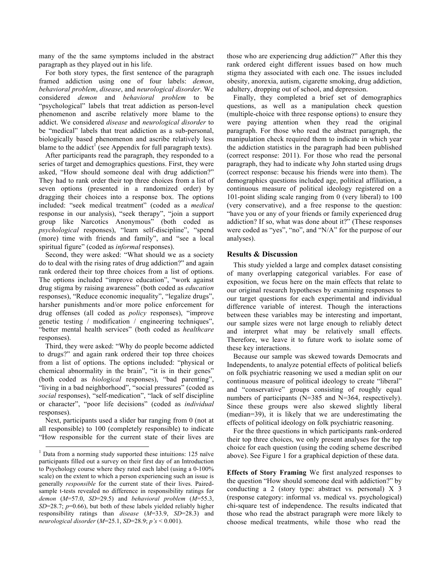many of the the same symptoms included in the abstract paragraph as they played out in his life.

For both story types, the first sentence of the paragraph framed addiction using one of four labels: *demon*, *behavioral problem*, *disease*, and *neurological disorder*. We considered *demon* and *behavioral problem* to be "psychological" labels that treat addiction as person-level phenomenon and ascribe relatively more blame to the addict. We considered *disease* and *neurological disorder* to be "medical" labels that treat addiction as a sub-personal, biologically based phenomenon and ascribe relatively less blame to the addict<sup>1</sup> (see Appendix for full paragraph texts).

After participants read the paragraph, they responded to a series of target and demographics questions. First, they were asked, "How should someone deal with drug addiction?" They had to rank order their top three choices from a list of seven options (presented in a randomized order) by dragging their choices into a response box. The options included: "seek medical treatment" (coded as a *medical* response in our analysis), "seek therapy", "join a support group like Narcotics Anonymous" (both coded as *psychological* responses), "learn self-discipline", "spend (more) time with friends and family", and "see a local spiritual figure" (coded as *informal* responses).

Second, they were asked: "What should we as a society do to deal with the rising rates of drug addiction?" and again rank ordered their top three choices from a list of options. The options included "improve education", "work against drug stigma by raising awareness" (both coded as *education* responses), "Reduce economic inequality", "legalize drugs", harsher punishments and/or more police enforcement for drug offenses (all coded as *policy* responses), "improve genetic testing / modification / engineering techniques", "better mental health services" (both coded as *healthcare* responses).

Third, they were asked: "Why do people become addicted to drugs?" and again rank ordered their top three choices from a list of options. The options included: "physical or chemical abnormality in the brain", "it is in their genes" (both coded as *biological* responses), "bad parenting", "living in a bad neighborhood", "social pressures" (coded as *social* responses), "self-medication", "lack of self discipline or character", "poor life decisions" (coded as *individual*  responses).

Next, participants used a slider bar ranging from 0 (not at all responsible) to 100 (completely responsible) to indicate "How responsible for the current state of their lives are

those who are experiencing drug addiction?" After this they rank ordered eight different issues based on how much stigma they associated with each one. The issues included obesity, anorexia, autism, cigarette smoking, drug addiction, adultery, dropping out of school, and depression.

Finally, they completed a brief set of demographics questions, as well as a manipulation check question (multiple-choice with three response options) to ensure they were paying attention when they read the original paragraph. For those who read the abstract paragraph, the manipulation check required them to indicate in which year the addiction statistics in the paragraph had been published (correct response: 2011). For those who read the personal paragraph, they had to indicate why John started using drugs (correct response: because his friends were into them). The demographics questions included age, political affiliation, a continuous measure of political ideology registered on a 101-point sliding scale ranging from 0 (very liberal) to 100 (very conservative), and a free response to the question: "have you or any of your friends or family experienced drug addiction? If so, what was done about it?" (These responses were coded as "yes", "no", and "N/A" for the purpose of our analyses).

## **Results & Discussion**

This study yielded a large and complex dataset consisting of many overlapping categorical variables. For ease of exposition, we focus here on the main effects that relate to our original research hypotheses by examining responses to our target questions for each experimental and individual difference variable of interest. Though the interactions between these variables may be interesting and important, our sample sizes were not large enough to reliably detect and interpret what may be relatively small effects. Therefore, we leave it to future work to isolate some of these key interactions.

Because our sample was skewed towards Democrats and Independents, to analyze potential effects of political beliefs on folk psychiatric reasoning we used a median split on our continuous measure of political ideology to create "liberal" and "conservative" groups consisting of roughly equal numbers of participants (N=385 and N=364, respectively). Since these groups were also skewed slightly liberal (median=39), it is likely that we are underestimating the effects of political ideology on folk psychiatric reasoning.

For the three questions in which participants rank-ordered their top three choices, we only present analyses for the top choice for each question (using the coding scheme described above). See Figure 1 for a graphical depiction of these data.

**Effects of Story Framing** We first analyzed responses to the question "How should someone deal with addiction?" by conducting a 2 (story type: abstract vs. personal) X 3 (response category: informal vs. medical vs. psychological) chi-square test of independence. The results indicated that those who read the abstract paragraph were more likely to choose medical treatments, while those who read the

 $1$  Data from a norming study supported these intuitions: 125 naïve participants filled out a survey on their first day of an Introduction to Psychology course where they rated each label (using a 0-100% scale) on the extent to which a person experiencing such an issue is generally *responsible* for the current state of their lives. Pairedsample t-tests revealed no difference in responsibility ratings for *demon* (*M*=57.0, *SD*=29.5) and *behavioral problem* (*M*=55.3, *SD*=28.7; *p*=0.66), but both of these labels yielded reliably higher responsibility ratings than *disease* (*M*=33.9, *SD*=28.3) and *neurological disorder* (*M*=25.1, *SD*=28.9; *p's* < 0.001).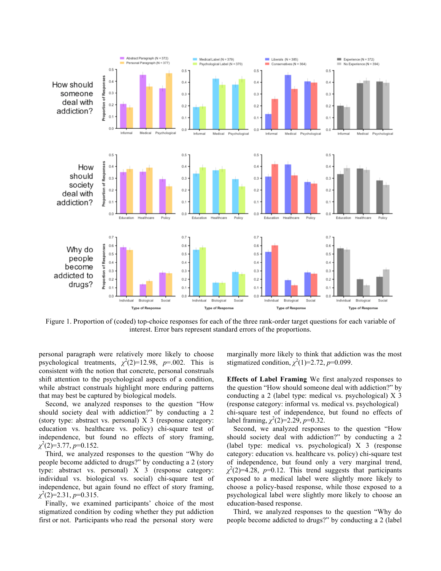

Figure 1. Proportion of (coded) top-choice responses for each of the three rank-order target questions for each variable of interest. Error bars represent standard errors of the proportions.

personal paragraph were relatively more likely to choose psychological treatments,  $\chi^2(2)=12.98$ ,  $p=.002$ . This is consistent with the notion that concrete, personal construals shift attention to the psychological aspects of a condition, while abstract construals highlight more enduring patterns that may best be captured by biological models.

Second, we analyzed responses to the question "How should society deal with addiction?" by conducting a 2 (story type: abstract vs. personal) X 3 (response category: education vs. healthcare vs. policy) chi-square test of independence, but found no effects of story framing, *χ* 2 (2)=3.77, *p*=0.152.

Third, we analyzed responses to the question "Why do people become addicted to drugs?" by conducting a 2 (story type: abstract vs. personal) X 3 (response category: individual vs. biological vs. social) chi-square test of independence, but again found no effect of story framing, *χ* 2 (2)=2.31, *p*=0.315.

Finally, we examined participants' choice of the most stigmatized condition by coding whether they put addiction first or not. Participants who read the personal story were marginally more likely to think that addiction was the most stigmatized condition,  $\chi^2(1)=2.72$ ,  $p=0.099$ .

**Effects of Label Framing** We first analyzed responses to the question "How should someone deal with addiction?" by conducting a 2 (label type: medical vs. psychological) X 3 (response category: informal vs. medical vs. psychological) chi-square test of independence, but found no effects of label framing,  $\chi^2(2)=2.29$ , *p*=0.32.

Second, we analyzed responses to the question "How should society deal with addiction?" by conducting a 2 (label type: medical vs. psychological) X 3 (response category: education vs. healthcare vs. policy) chi-square test of independence, but found only a very marginal trend,  $\chi^2(2)=4.28$ ,  $p=0.12$ . This trend suggests that participants exposed to a medical label were slightly more likely to choose a policy-based response, while those exposed to a psychological label were slightly more likely to choose an education-based response.

Third, we analyzed responses to the question "Why do people become addicted to drugs?" by conducting a 2 (label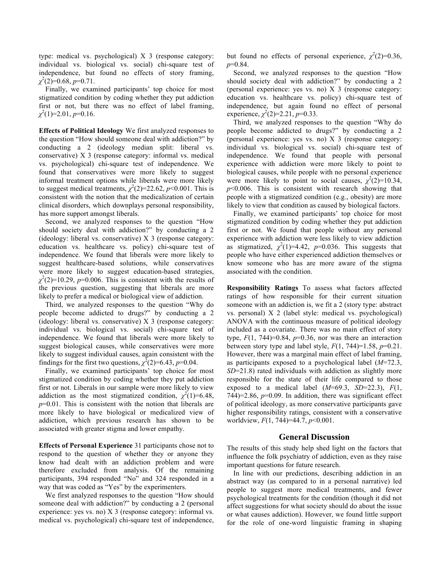type: medical vs. psychological) X 3 (response category: individual vs. biological vs. social) chi-square test of independence, but found no effects of story framing,  $\chi^2(2)=0.68, p=0.71.$ 

Finally, we examined participants' top choice for most stigmatized condition by coding whether they put addiction first or not, but there was no effect of label framing,  $\chi^2(1)=2.01, p=0.16.$ 

**Effects of Political Ideology** We first analyzed responses to the question "How should someone deal with addiction?" by conducting a 2 (ideology median split: liberal vs. conservative) X 3 (response category: informal vs. medical vs. psychological) chi-square test of independence. We found that conservatives were more likely to suggest informal treatment options while liberals were more likely to suggest medical treatments,  $\chi^2(2)=22.62$ ,  $p<0.001$ . This is consistent with the notion that the medicalization of certain clinical disorders, which downplays personal responsibility, has more support amongst liberals.

Second, we analyzed responses to the question "How should society deal with addiction?" by conducting a 2 (ideology: liberal vs. conservative) X 3 (response category: education vs. healthcare vs. policy) chi-square test of independence. We found that liberals were more likely to suggest healthcare-based solutions, while conservatives were more likely to suggest education-based strategies,  $\chi^2(2)$ =10.29, *p*=0.006. This is consistent with the results of the previous question, suggesting that liberals are more likely to prefer a medical or biological view of addiction.

Third, we analyzed responses to the question "Why do people become addicted to drugs?" by conducting a 2 (ideology: liberal vs. conservative) X 3 (response category: individual vs. biological vs. social) chi-square test of independence. We found that liberals were more likely to suggest biological causes, while conservatives were more likely to suggest individual causes, again consistent with the findings for the first two questions,  $\chi^2(2)=6.43$ ,  $p=0.04$ .

Finally, we examined participants' top choice for most stigmatized condition by coding whether they put addiction first or not. Liberals in our sample were more likely to view addiction as the most stigmatized condition,  $\chi^2(1)=6.48$ , *p*=0.01. This is consistent with the notion that liberals are more likely to have biological or medicalized view of addiction, which previous research has shown to be associated with greater stigma and lower empathy.

**Effects of Personal Experience** 31 participants chose not to respond to the question of whether they or anyone they know had dealt with an addiction problem and were therefore excluded from analysis. Of the remaining participants, 394 responded "No" and 324 responded in a way that was coded as "Yes" by the experimenters.

We first analyzed responses to the question "How should someone deal with addiction?" by conducting a 2 (personal experience: yes vs. no) X 3 (response category: informal vs. medical vs. psychological) chi-square test of independence,

but found no effects of personal experience,  $\chi^2(2)=0.36$ , *p*=0.84.

Second, we analyzed responses to the question "How should society deal with addiction?" by conducting a 2 (personal experience: yes vs. no) X 3 (response category: education vs. healthcare vs. policy) chi-square test of independence, but again found no effect of personal experience,  $\chi^2(2)=2.21, p=0.33$ .

Third, we analyzed responses to the question "Why do people become addicted to drugs?" by conducting a 2 (personal experience: yes vs. no) X 3 (response category: individual vs. biological vs. social) chi-square test of independence. We found that people with personal experience with addiction were more likely to point to biological causes, while people with no personal experience were more likely to point to social causes,  $\chi^2(2)=10.34$ , *p*<0.006. This is consistent with research showing that people with a stigmatized condition (e.g., obesity) are more likely to view that condition as caused by biological factors.

Finally, we examined participants' top choice for most stigmatized condition by coding whether they put addiction first or not. We found that people without any personal experience with addiction were less likely to view addiction as stigmatized,  $\chi^2(1)=4.42$ ,  $p=0.036$ . This suggests that people who have either experienced addiction themselves or know someone who has are more aware of the stigma associated with the condition.

**Responsibility Ratings** To assess what factors affected ratings of how responsible for their current situation someone with an addiction is, we fit a 2 (story type: abstract vs. personal) X 2 (label style: medical vs. psychological) ANOVA with the continuous measure of political ideology included as a covariate. There was no main effect of story type,  $F(1, 744)=0.84$ ,  $p=0.36$ , nor was there an interaction between story type and label style,  $F(1, 744)=1.58$ ,  $p=0.21$ . However, there was a marginal main effect of label framing, as participants exposed to a psychological label (*M*=72.3, *SD*=21.8) rated individuals with addiction as slightly more responsible for the state of their life compared to those exposed to a medical label  $(M=69.3, SD=22.3)$ ,  $F(1,$ 744)=2.86, *p*=0.09. In addition, there was significant effect of political ideology, as more conservative participants gave higher responsibility ratings, consistent with a conservative worldview, *F*(1, 744)=44.7, *p*<0.001.

### **General Discussion**

The results of this study help shed light on the factors that influence the folk psychiatry of addiction, even as they raise important questions for future research.

In line with our predictions, describing addiction in an abstract way (as compared to in a personal narrative) led people to suggest more medical treatments, and fewer psychological treatments for the condition (though it did not affect suggestions for what society should do about the issue or what causes addiction). However, we found little support for the role of one-word linguistic framing in shaping